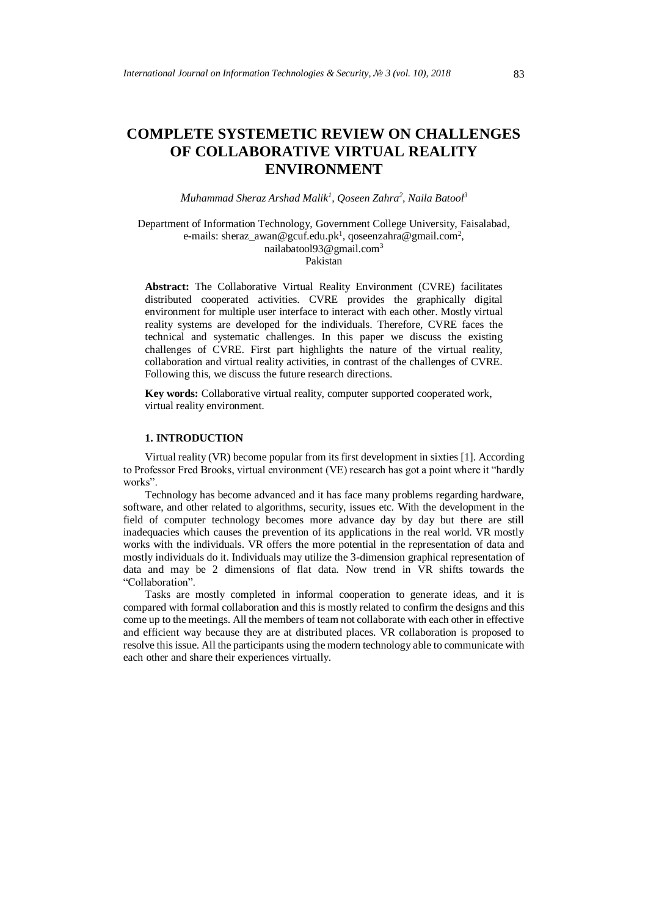# **COMPLETE SYSTEMETIC REVIEW ON CHALLENGES OF COLLABORATIVE VIRTUAL REALITY ENVIRONMENT**

*Muhammad Sheraz Arshad Malik<sup>1</sup> , Qoseen Zahra<sup>2</sup> , Naila Batool<sup>3</sup>*

Department of Information Technology, Government College University, Faisalabad, e-mails: sheraz\_awan@gcuf.edu.pk<sup>1</sup>, qoseenzahra@gmail.com<sup>2</sup>, nailabatool93@gmail.com<sup>3</sup>

Pakistan

**Abstract:** The Collaborative Virtual Reality Environment (CVRE) facilitates distributed cooperated activities. CVRE provides the graphically digital environment for multiple user interface to interact with each other. Mostly virtual reality systems are developed for the individuals. Therefore, CVRE faces the technical and systematic challenges. In this paper we discuss the existing challenges of CVRE. First part highlights the nature of the virtual reality, collaboration and virtual reality activities, in contrast of the challenges of CVRE. Following this, we discuss the future research directions.

**Key words:** Collaborative virtual reality, computer supported cooperated work, virtual reality environment.

# **1. INTRODUCTION**

Virtual reality (VR) become popular from its first development in sixties [1]. According to Professor Fred Brooks, virtual environment (VE) research has got a point where it "hardly works".

Technology has become advanced and it has face many problems regarding hardware, software, and other related to algorithms, security, issues etc. With the development in the field of computer technology becomes more advance day by day but there are still inadequacies which causes the prevention of its applications in the real world. VR mostly works with the individuals. VR offers the more potential in the representation of data and mostly individuals do it. Individuals may utilize the 3-dimension graphical representation of data and may be 2 dimensions of flat data. Now trend in VR shifts towards the "Collaboration".

Tasks are mostly completed in informal cooperation to generate ideas, and it is compared with formal collaboration and this is mostly related to confirm the designs and this come up to the meetings. All the members of team not collaborate with each other in effective and efficient way because they are at distributed places. VR collaboration is proposed to resolve this issue. All the participants using the modern technology able to communicate with each other and share their experiences virtually.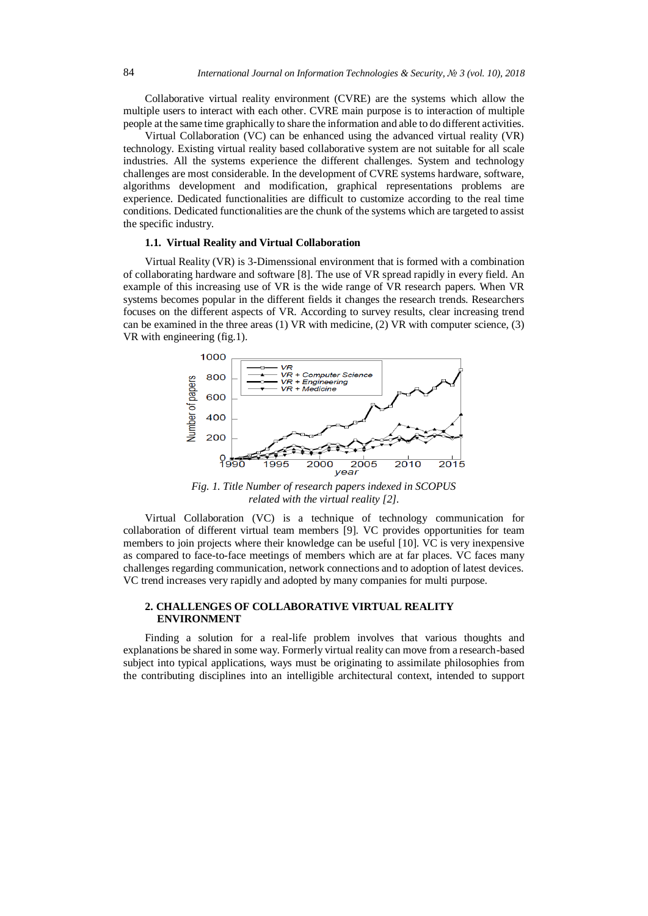Collaborative virtual reality environment (CVRE) are the systems which allow the multiple users to interact with each other. CVRE main purpose is to interaction of multiple people at the same time graphically to share the information and able to do different activities.

Virtual Collaboration (VC) can be enhanced using the advanced virtual reality (VR) technology. Existing virtual reality based collaborative system are not suitable for all scale industries. All the systems experience the different challenges. System and technology challenges are most considerable. In the development of CVRE systems hardware, software, algorithms development and modification, graphical representations problems are experience. Dedicated functionalities are difficult to customize according to the real time conditions. Dedicated functionalities are the chunk of the systems which are targeted to assist the specific industry.

## **1.1. Virtual Reality and Virtual Collaboration**

Virtual Reality (VR) is 3-Dimenssional environment that is formed with a combination of collaborating hardware and software [8]. The use of VR spread rapidly in every field. An example of this increasing use of VR is the wide range of VR research papers. When VR systems becomes popular in the different fields it changes the research trends. Researchers focuses on the different aspects of VR. According to survey results, clear increasing trend can be examined in the three areas (1) VR with medicine, (2) VR with computer science, (3) VR with engineering (fig.1).



*Fig. 1. Title Number of research papers indexed in SCOPUS related with the virtual reality [2].*

Virtual Collaboration (VC) is a technique of technology communication for collaboration of different virtual team members [9]. VC provides opportunities for team members to join projects where their knowledge can be useful [10]. VC is very inexpensive as compared to face-to-face meetings of members which are at far places. VC faces many challenges regarding communication, network connections and to adoption of latest devices. VC trend increases very rapidly and adopted by many companies for multi purpose.

# **2. CHALLENGES OF COLLABORATIVE VIRTUAL REALITY ENVIRONMENT**

Finding a solution for a real-life problem involves that various thoughts and explanations be shared in some way. Formerly virtual reality can move from a research-based subject into typical applications, ways must be originating to assimilate philosophies from the contributing disciplines into an intelligible architectural context, intended to support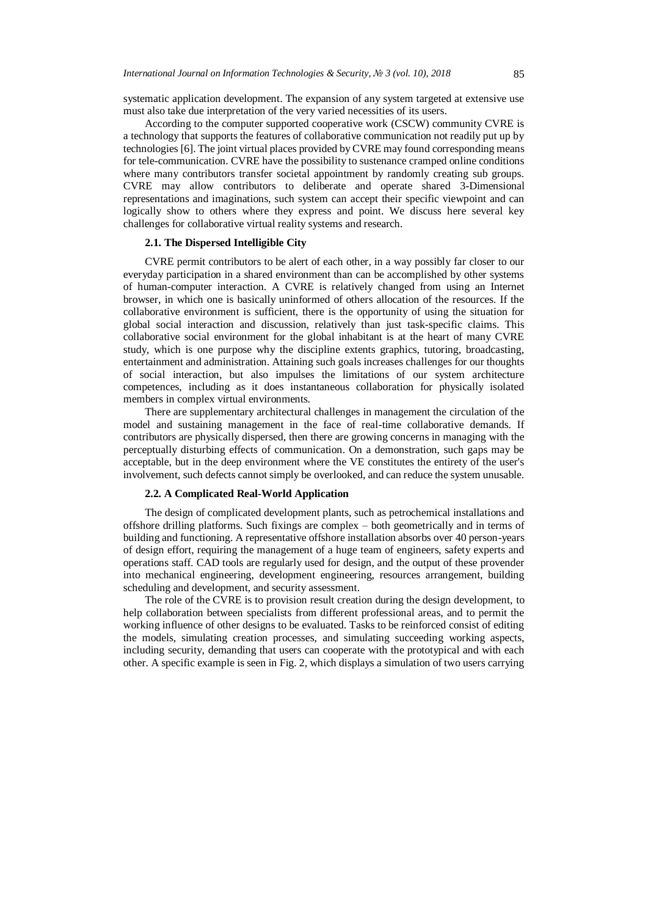systematic application development. The expansion of any system targeted at extensive use must also take due interpretation of the very varied necessities of its users.

According to the computer supported cooperative work (CSCW) community CVRE is a technology that supports the features of collaborative communication not readily put up by technologies [6]. The joint virtual places provided by CVRE may found corresponding means for tele-communication. CVRE have the possibility to sustenance cramped online conditions where many contributors transfer societal appointment by randomly creating sub groups. CVRE may allow contributors to deliberate and operate shared 3-Dimensional representations and imaginations, such system can accept their specific viewpoint and can logically show to others where they express and point. We discuss here several key challenges for collaborative virtual reality systems and research.

# **2.1. The Dispersed Intelligible City**

CVRE permit contributors to be alert of each other, in a way possibly far closer to our everyday participation in a shared environment than can be accomplished by other systems of human-computer interaction. A CVRE is relatively changed from using an Internet browser, in which one is basically uninformed of others allocation of the resources. If the collaborative environment is sufficient, there is the opportunity of using the situation for global social interaction and discussion, relatively than just task-specific claims. This collaborative social environment for the global inhabitant is at the heart of many CVRE study, which is one purpose why the discipline extents graphics, tutoring, broadcasting, entertainment and administration. Attaining such goals increases challenges for our thoughts of social interaction, but also impulses the limitations of our system architecture competences, including as it does instantaneous collaboration for physically isolated members in complex virtual environments.

There are supplementary architectural challenges in management the circulation of the model and sustaining management in the face of real-time collaborative demands. If contributors are physically dispersed, then there are growing concerns in managing with the perceptually disturbing effects of communication. On a demonstration, such gaps may be acceptable, but in the deep environment where the VE constitutes the entirety of the user's involvement, such defects cannot simply be overlooked, and can reduce the system unusable.

## **2.2. A Complicated Real-World Application**

The design of complicated development plants, such as petrochemical installations and offshore drilling platforms. Such fixings are complex – both geometrically and in terms of building and functioning. A representative offshore installation absorbs over 40 person-years of design effort, requiring the management of a huge team of engineers, safety experts and operations staff. CAD tools are regularly used for design, and the output of these provender into mechanical engineering, development engineering, resources arrangement, building scheduling and development, and security assessment.

The role of the CVRE is to provision result creation during the design development, to help collaboration between specialists from different professional areas, and to permit the working influence of other designs to be evaluated. Tasks to be reinforced consist of editing the models, simulating creation processes, and simulating succeeding working aspects, including security, demanding that users can cooperate with the prototypical and with each other. A specific example is seen in Fig. 2, which displays a simulation of two users carrying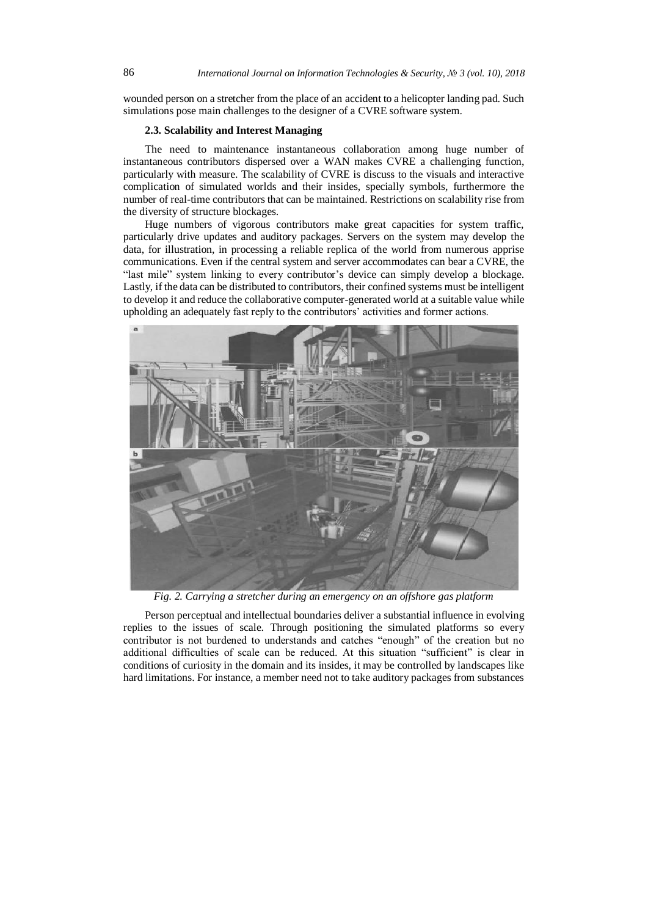wounded person on a stretcher from the place of an accident to a helicopter landing pad. Such simulations pose main challenges to the designer of a CVRE software system.

#### **2.3. Scalability and Interest Managing**

The need to maintenance instantaneous collaboration among huge number of instantaneous contributors dispersed over a WAN makes CVRE a challenging function, particularly with measure. The scalability of CVRE is discuss to the visuals and interactive complication of simulated worlds and their insides, specially symbols, furthermore the number of real-time contributors that can be maintained. Restrictions on scalability rise from the diversity of structure blockages.

Huge numbers of vigorous contributors make great capacities for system traffic, particularly drive updates and auditory packages. Servers on the system may develop the data, for illustration, in processing a reliable replica of the world from numerous apprise communications. Even if the central system and server accommodates can bear a CVRE, the "last mile" system linking to every contributor's device can simply develop a blockage. Lastly, if the data can be distributed to contributors, their confined systems must be intelligent to develop it and reduce the collaborative computer-generated world at a suitable value while upholding an adequately fast reply to the contributors' activities and former actions.



*Fig. 2. Carrying a stretcher during an emergency on an offshore gas platform*

Person perceptual and intellectual boundaries deliver a substantial influence in evolving replies to the issues of scale. Through positioning the simulated platforms so every contributor is not burdened to understands and catches "enough" of the creation but no additional difficulties of scale can be reduced. At this situation "sufficient" is clear in conditions of curiosity in the domain and its insides, it may be controlled by landscapes like hard limitations. For instance, a member need not to take auditory packages from substances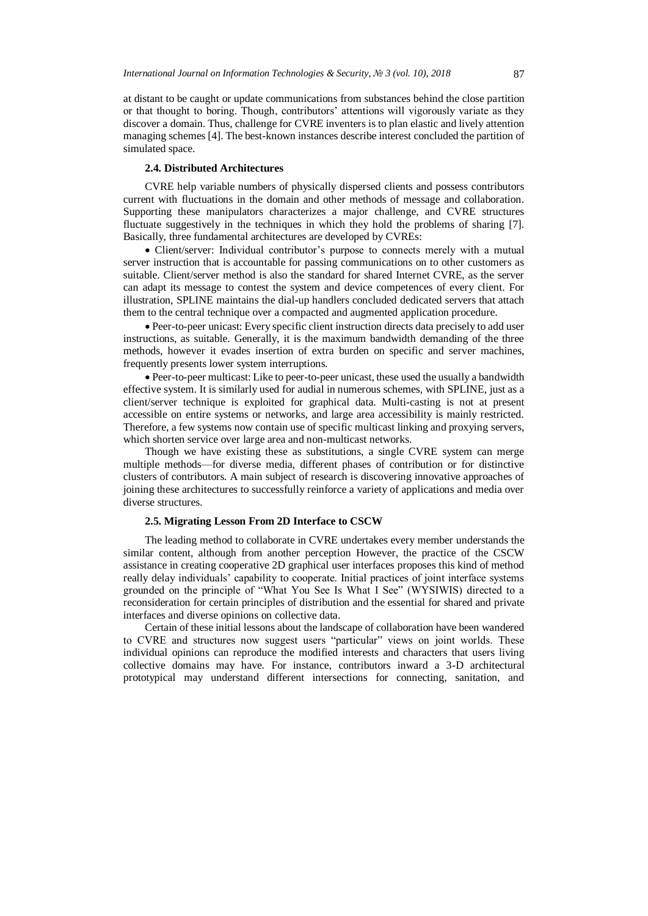at distant to be caught or update communications from substances behind the close partition or that thought to boring. Though, contributors' attentions will vigorously variate as they discover a domain. Thus, challenge for CVRE inventers is to plan elastic and lively attention managing schemes [4]. The best-known instances describe interest concluded the partition of simulated space.

## **2.4. Distributed Architectures**

CVRE help variable numbers of physically dispersed clients and possess contributors current with fluctuations in the domain and other methods of message and collaboration. Supporting these manipulators characterizes a major challenge, and CVRE structures fluctuate suggestively in the techniques in which they hold the problems of sharing [7]. Basically, three fundamental architectures are developed by CVREs:

 Client/server: Individual contributor's purpose to connects merely with a mutual server instruction that is accountable for passing communications on to other customers as suitable. Client/server method is also the standard for shared Internet CVRE, as the server can adapt its message to contest the system and device competences of every client. For illustration, SPLINE maintains the dial-up handlers concluded dedicated servers that attach them to the central technique over a compacted and augmented application procedure.

 Peer-to-peer unicast: Every specific client instruction directs data precisely to add user instructions, as suitable. Generally, it is the maximum bandwidth demanding of the three methods, however it evades insertion of extra burden on specific and server machines, frequently presents lower system interruptions.

 Peer-to-peer multicast: Like to peer-to-peer unicast, these used the usually a bandwidth effective system. It is similarly used for audial in numerous schemes, with SPLINE, just as a client/server technique is exploited for graphical data. Multi-casting is not at present accessible on entire systems or networks, and large area accessibility is mainly restricted. Therefore, a few systems now contain use of specific multicast linking and proxying servers, which shorten service over large area and non-multicast networks.

Though we have existing these as substitutions, a single CVRE system can merge multiple methods—for diverse media, different phases of contribution or for distinctive clusters of contributors. A main subject of research is discovering innovative approaches of joining these architectures to successfully reinforce a variety of applications and media over diverse structures.

### **2.5. Migrating Lesson From 2D Interface to CSCW**

The leading method to collaborate in CVRE undertakes every member understands the similar content, although from another perception However, the practice of the CSCW assistance in creating cooperative 2D graphical user interfaces proposes this kind of method really delay individuals' capability to cooperate. Initial practices of joint interface systems grounded on the principle of "What You See Is What I See" (WYSIWIS) directed to a reconsideration for certain principles of distribution and the essential for shared and private interfaces and diverse opinions on collective data.

Certain of these initial lessons about the landscape of collaboration have been wandered to CVRE and structures now suggest users "particular" views on joint worlds. These individual opinions can reproduce the modified interests and characters that users living collective domains may have. For instance, contributors inward a 3-D architectural prototypical may understand different intersections for connecting, sanitation, and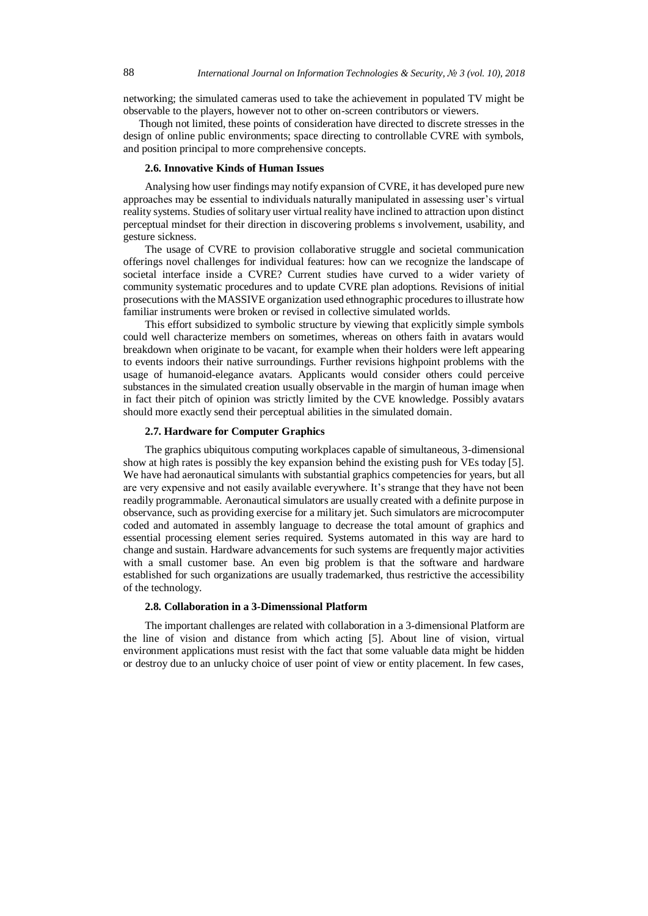networking; the simulated cameras used to take the achievement in populated TV might be observable to the players, however not to other on-screen contributors or viewers.

Though not limited, these points of consideration have directed to discrete stresses in the design of online public environments; space directing to controllable CVRE with symbols, and position principal to more comprehensive concepts.

#### **2.6. Innovative Kinds of Human Issues**

Analysing how user findings may notify expansion of CVRE, it has developed pure new approaches may be essential to individuals naturally manipulated in assessing user's virtual reality systems. Studies of solitary user virtual reality have inclined to attraction upon distinct perceptual mindset for their direction in discovering problems s involvement, usability, and gesture sickness.

The usage of CVRE to provision collaborative struggle and societal communication offerings novel challenges for individual features: how can we recognize the landscape of societal interface inside a CVRE? Current studies have curved to a wider variety of community systematic procedures and to update CVRE plan adoptions. Revisions of initial prosecutions with the MASSIVE organization used ethnographic procedures to illustrate how familiar instruments were broken or revised in collective simulated worlds.

This effort subsidized to symbolic structure by viewing that explicitly simple symbols could well characterize members on sometimes, whereas on others faith in avatars would breakdown when originate to be vacant, for example when their holders were left appearing to events indoors their native surroundings. Further revisions highpoint problems with the usage of humanoid-elegance avatars. Applicants would consider others could perceive substances in the simulated creation usually observable in the margin of human image when in fact their pitch of opinion was strictly limited by the CVE knowledge. Possibly avatars should more exactly send their perceptual abilities in the simulated domain.

#### **2.7. Hardware for Computer Graphics**

The graphics ubiquitous computing workplaces capable of simultaneous, 3-dimensional show at high rates is possibly the key expansion behind the existing push for VEs today [5]. We have had aeronautical simulants with substantial graphics competencies for years, but all are very expensive and not easily available everywhere. It's strange that they have not been readily programmable. Aeronautical simulators are usually created with a definite purpose in observance, such as providing exercise for a military jet. Such simulators are microcomputer coded and automated in assembly language to decrease the total amount of graphics and essential processing element series required. Systems automated in this way are hard to change and sustain. Hardware advancements for such systems are frequently major activities with a small customer base. An even big problem is that the software and hardware established for such organizations are usually trademarked, thus restrictive the accessibility of the technology.

## **2.8. Collaboration in a 3-Dimenssional Platform**

The important challenges are related with collaboration in a 3-dimensional Platform are the line of vision and distance from which acting [5]. About line of vision, virtual environment applications must resist with the fact that some valuable data might be hidden or destroy due to an unlucky choice of user point of view or entity placement. In few cases,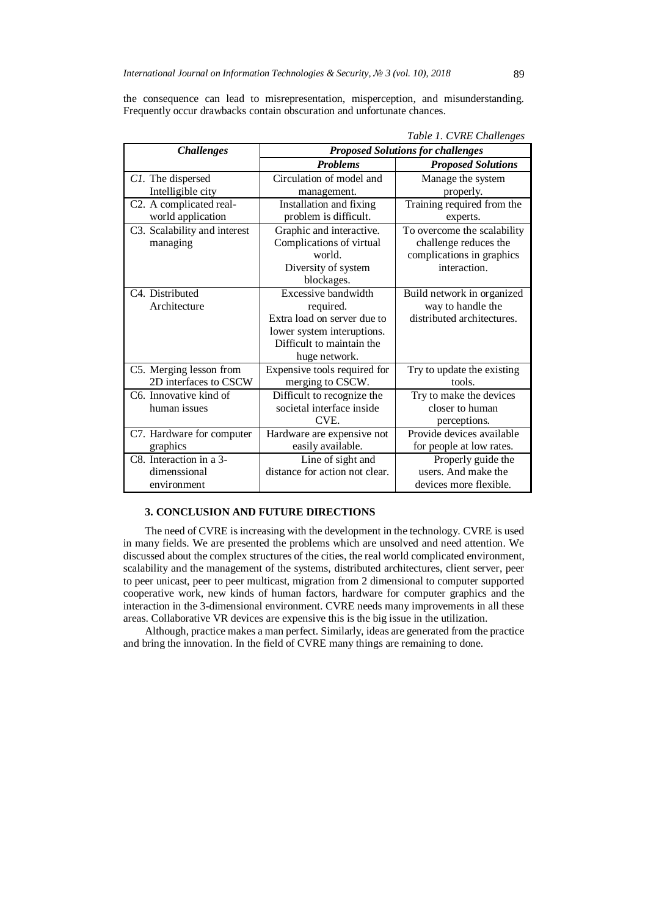the consequence can lead to misrepresentation, misperception, and misunderstanding. Frequently occur drawbacks contain obscuration and unfortunate chances.

| <b>Challenges</b>            | <b>Proposed Solutions for challenges</b> |                             |
|------------------------------|------------------------------------------|-----------------------------|
|                              | <b>Problems</b>                          | <b>Proposed Solutions</b>   |
| C1. The dispersed            | Circulation of model and                 | Manage the system           |
| Intelligible city            | management.                              | properly.                   |
| C2. A complicated real-      | Installation and fixing                  | Training required from the  |
| world application            | problem is difficult.                    | experts.                    |
| C3. Scalability and interest | Graphic and interactive.                 | To overcome the scalability |
| managing                     | Complications of virtual                 | challenge reduces the       |
|                              | world.                                   | complications in graphics   |
|                              | Diversity of system                      | interaction.                |
|                              | blockages.                               |                             |
| C <sub>4</sub> . Distributed | Excessive bandwidth                      | Build network in organized  |
| Architecture                 | required.                                | way to handle the           |
|                              | Extra load on server due to              | distributed architectures.  |
|                              | lower system interuptions.               |                             |
|                              | Difficult to maintain the                |                             |
|                              | huge network.                            |                             |
| C5. Merging lesson from      | Expensive tools required for             | Try to update the existing  |
| 2D interfaces to CSCW        | merging to CSCW.                         | tools.                      |
| C6. Innovative kind of       | Difficult to recognize the               | Try to make the devices     |
| human issues                 | societal interface inside                | closer to human             |
|                              | CVE.                                     | perceptions.                |
| C7. Hardware for computer    | Hardware are expensive not               | Provide devices available   |
| graphics                     | easily available.                        | for people at low rates.    |
| C8. Interaction in a 3-      | Line of sight and                        | Properly guide the          |
| dimenssional                 | distance for action not clear.           | users. And make the         |
| environment                  |                                          | devices more flexible.      |

*Table 1. CVRE Challenges*

# **3. CONCLUSION AND FUTURE DIRECTIONS**

The need of CVRE is increasing with the development in the technology. CVRE is used in many fields. We are presented the problems which are unsolved and need attention. We discussed about the complex structures of the cities, the real world complicated environment, scalability and the management of the systems, distributed architectures, client server, peer to peer unicast, peer to peer multicast, migration from 2 dimensional to computer supported cooperative work, new kinds of human factors, hardware for computer graphics and the interaction in the 3-dimensional environment. CVRE needs many improvements in all these areas. Collaborative VR devices are expensive this is the big issue in the utilization.

Although, practice makes a man perfect. Similarly, ideas are generated from the practice and bring the innovation. In the field of CVRE many things are remaining to done.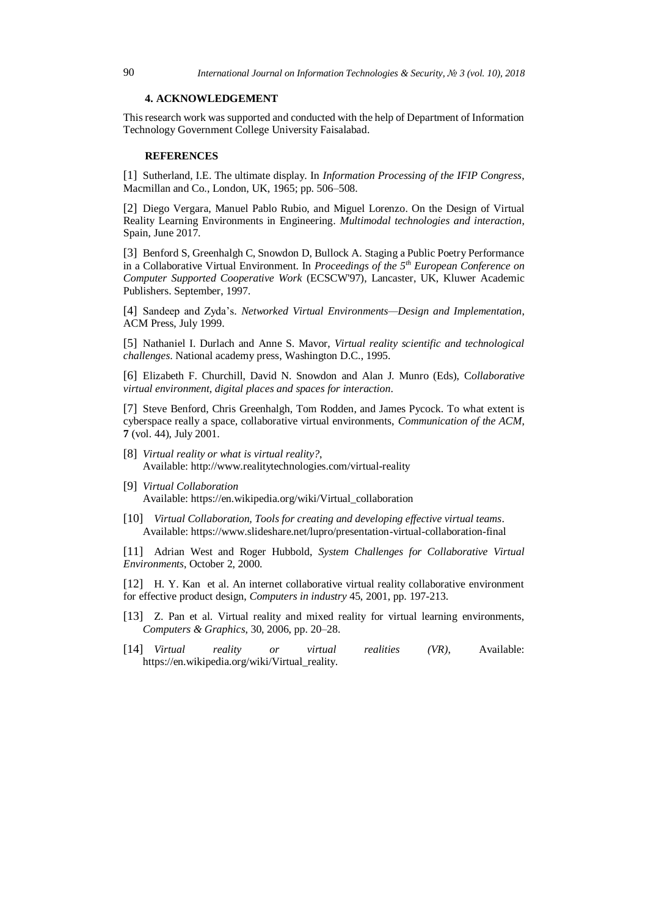#### **4. ACKNOWLEDGEMENT**

This research work was supported and conducted with the help of Department of Information Technology Government College University Faisalabad.

#### **REFERENCES**

[1] Sutherland, I.E. The ultimate display. In *Information Processing of the IFIP Congress*, Macmillan and Co., London, UK, 1965; pp. 506–508.

[2] Diego Vergara, Manuel Pablo Rubio, and Miguel Lorenzo. On the Design of Virtual Reality Learning Environments in Engineering. *Multimodal technologies and interaction*, Spain, June 2017.

[3] Benford S, Greenhalgh C, Snowdon D, Bullock A. Staging a Public Poetry Performance in a Collaborative Virtual Environment. In *Proceedings of the 5th European Conference on Computer Supported Cooperative Work* (ECSCW'97), Lancaster, UK, Kluwer Academic Publishers. September, 1997.

[4] Sandeep and Zyda's. *Networked Virtual Environments—Design and Implementation*, ACM Press, July 1999.

[5] Nathaniel I. Durlach and Anne S. Mavor, *Virtual reality scientific and technological challenges*. National academy press, Washington D.C., 1995.

[6] Elizabeth F. Churchill, David N. Snowdon and Alan J. Munro (Eds), C*ollaborative virtual environment, digital places and spaces for interaction*.

[7] Steve Benford, Chris Greenhalgh, Tom Rodden, and James Pycock. To what extent is cyberspace really a space, collaborative virtual environments, *Communication of the ACM*, **7** (vol. 44), July 2001.

- [8] *Virtual reality or what is virtual reality?*, Available: http://www.realitytechnologies.com/virtual-reality
- [9] *Virtual Collaboration* Available: https://en.wikipedia.org/wiki/Virtual\_collaboration
- [10] *Virtual Collaboration, Tools for creating and developing effective virtual teams*. Available: https://www.slideshare.net/lupro/presentation-virtual-collaboration-final

[11] Adrian West and Roger Hubbold, *System Challenges for Collaborative Virtual Environments*, October 2, 2000.

[12] H. Y. Kan et al. An internet collaborative virtual reality collaborative environment for effective product design, *Computers in industry* 45, 2001, pp. 197-213.

- [13] Z. Pan et al. Virtual reality and mixed reality for virtual learning environments, *Computers & Graphics*, 30, 2006, pp. 20–28.
- [14] *Virtual reality or virtual realities (VR)*, Available: https://en.wikipedia.org/wiki/Virtual\_reality.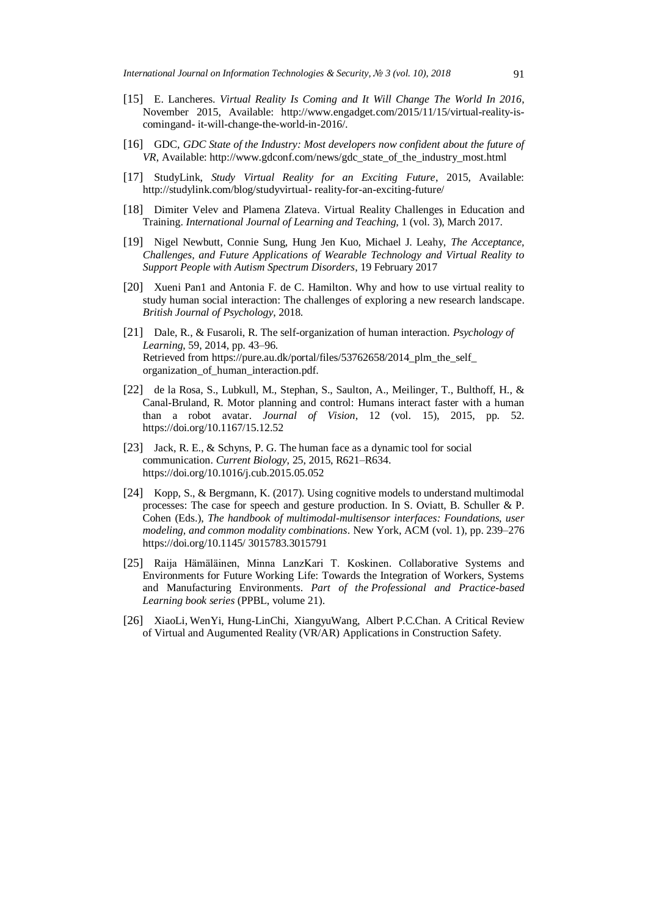- [15] E. Lancheres. *Virtual Reality Is Coming and It Will Change The World In 2016*, November 2015, Available: http://www.engadget.com/2015/11/15/virtual-reality-iscomingand- it-will-change-the-world-in-2016/.
- [16] GDC, *GDC State of the Industry: Most developers now confident about the future of VR*, Available: http://www.gdconf.com/news/gdc\_state\_of\_the\_industry\_most.html
- [17] StudyLink, *Study Virtual Reality for an Exciting Future*, 2015, Available: http://studylink.com/blog/studyvirtual- reality-for-an-exciting-future/
- [18] Dimiter Velev and Plamena Zlateva. Virtual Reality Challenges in Education and Training. *International Journal of Learning and Teaching,* 1 (vol. 3), March 2017.
- [19] Nigel Newbutt, Connie Sung, Hung Jen Kuo, Michael J. Leahy, *The Acceptance, Challenges, and Future Applications of Wearable Technology and Virtual Reality to Support People with Autism Spectrum Disorders*, 19 February 2017
- [20] Xueni Pan1 and Antonia F. de C. Hamilton. Why and how to use virtual reality to study human social interaction: The challenges of exploring a new research landscape. *British Journal of Psychology*, 2018.
- [21] Dale, R., & Fusaroli, R. The self-organization of human interaction. *Psychology of Learning*, 59, 2014, pp. 43–96. Retrieved from https://pure.au.dk/portal/files/53762658/2014\_plm\_the\_self\_ organization\_of\_human\_interaction.pdf.
- [22] de la Rosa, S., Lubkull, M., Stephan, S., Saulton, A., Meilinger, T., Bulthoff, H., & Canal-Bruland, R. Motor planning and control: Humans interact faster with a human than a robot avatar. *Journal of Vision*, 12 (vol. 15), 2015, pp. 52. https://doi.org/10.1167/15.12.52
- [23] Jack, R. E., & Schyns, P. G. The human face as a dynamic tool for social communication. *Current Biology*, 25, 2015, R621–R634. https://doi.org/10.1016/j.cub.2015.05.052
- [24] Kopp, S., & Bergmann, K. (2017). Using cognitive models to understand multimodal processes: The case for speech and gesture production. In S. Oviatt, B. Schuller & P. Cohen (Eds.), *The handbook of multimodal-multisensor interfaces: Foundations, user modeling, and common modality combinations*. New York, ACM (vol. 1), pp. 239–276 https://doi.org/10.1145/ 3015783.3015791
- [25] Raija Hämäläinen, Minna LanzKari T. Koskinen. Collaborative Systems and Environments for Future Working Life: Towards the Integration of Workers, Systems and Manufacturing Environments. *Part of the Professional and Practice-based Learning book series* (PPBL, volume 21).
- [26] XiaoLi, WenYi, Hung-LinChi, XiangyuWang, Albert P.C.Chan. A Critical Review of Virtual and Augumented Reality (VR/AR) Applications in Construction Safety.